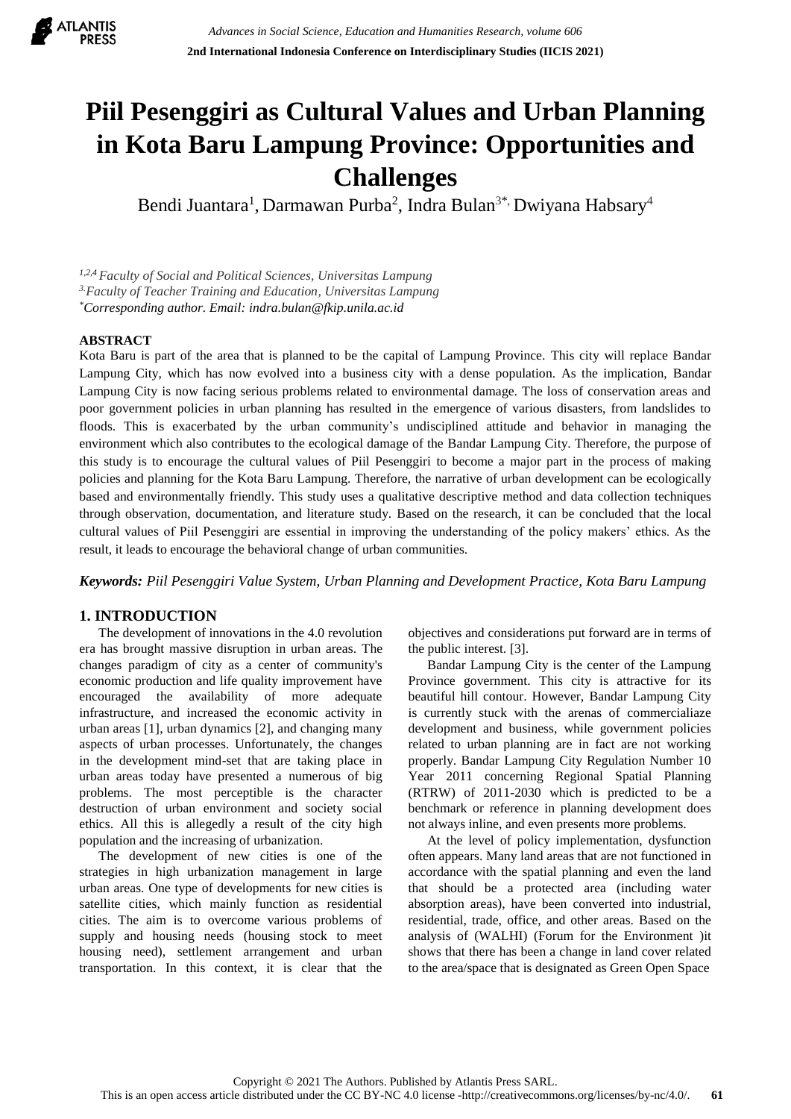

# **Piil Pesenggiri as Cultural Values and Urban Planning in Kota Baru Lampung Province: Opportunities and Challenges**

Bendi Juantara<sup>1</sup>, Darmawan Purba<sup>2</sup>, Indra Bulan<sup>3\*,</sup> Dwiyana Habsary<sup>4</sup>

*1,2,4 Faculty of Social and Political Sciences, Universitas Lampung 3.Faculty of Teacher Training and Education, Universitas Lampung \*Corresponding author. Email: [indra.bulan@fkip.unila.ac.id](mailto:indra.bulan@fkip.unila.ac.id)*

## **ABSTRACT**

Kota Baru is part of the area that is planned to be the capital of Lampung Province. This city will replace Bandar Lampung City, which has now evolved into a business city with a dense population. As the implication, Bandar Lampung City is now facing serious problems related to environmental damage. The loss of conservation areas and poor government policies in urban planning has resulted in the emergence of various disasters, from landslides to floods. This is exacerbated by the urban community's undisciplined attitude and behavior in managing the environment which also contributes to the ecological damage of the Bandar Lampung City. Therefore, the purpose of this study is to encourage the cultural values of Piil Pesenggiri to become a major part in the process of making policies and planning for the Kota Baru Lampung. Therefore, the narrative of urban development can be ecologically based and environmentally friendly. This study uses a qualitative descriptive method and data collection techniques through observation, documentation, and literature study. Based on the research, it can be concluded that the local cultural values of Piil Pesenggiri are essential in improving the understanding of the policy makers' ethics. As the result, it leads to encourage the behavioral change of urban communities.

*Keywords: Piil Pesenggiri Value System, Urban Planning and Development Practice, Kota Baru Lampung*

## **1. INTRODUCTION**

The development of innovations in the 4.0 revolution era has brought massive disruption in urban areas. The changes paradigm of city as a center of community's economic production and life quality improvement have encouraged the availability of more adequate infrastructure, and increased the economic activity in urban areas [1], urban dynamics [2], and changing many aspects of urban processes. Unfortunately, the changes in the development mind-set that are taking place in urban areas today have presented a numerous of big problems. The most perceptible is the character destruction of urban environment and society social ethics. All this is allegedly a result of the city high population and the increasing of urbanization.

The development of new cities is one of the strategies in high urbanization management in large urban areas. One type of developments for new cities is satellite cities, which mainly function as residential cities. The aim is to overcome various problems of supply and housing needs (housing stock to meet housing need), settlement arrangement and urban transportation. In this context, it is clear that the

objectives and considerations put forward are in terms of the public interest. [3].

Bandar Lampung City is the center of the Lampung Province government. This city is attractive for its beautiful hill contour. However, Bandar Lampung City is currently stuck with the arenas of commercialiaze development and business, while government policies related to urban planning are in fact are not working properly. Bandar Lampung City Regulation Number 10 Year 2011 concerning Regional Spatial Planning (RTRW) of 2011-2030 which is predicted to be a benchmark or reference in planning development does not always inline, and even presents more problems.

At the level of policy implementation, dysfunction often appears. Many land areas that are not functioned in accordance with the spatial planning and even the land that should be a protected area (including water absorption areas), have been converted into industrial, residential, trade, office, and other areas. Based on the analysis of (WALHI) (Forum for the Environment )it shows that there has been a change in land cover related to the area/space that is designated as Green Open Space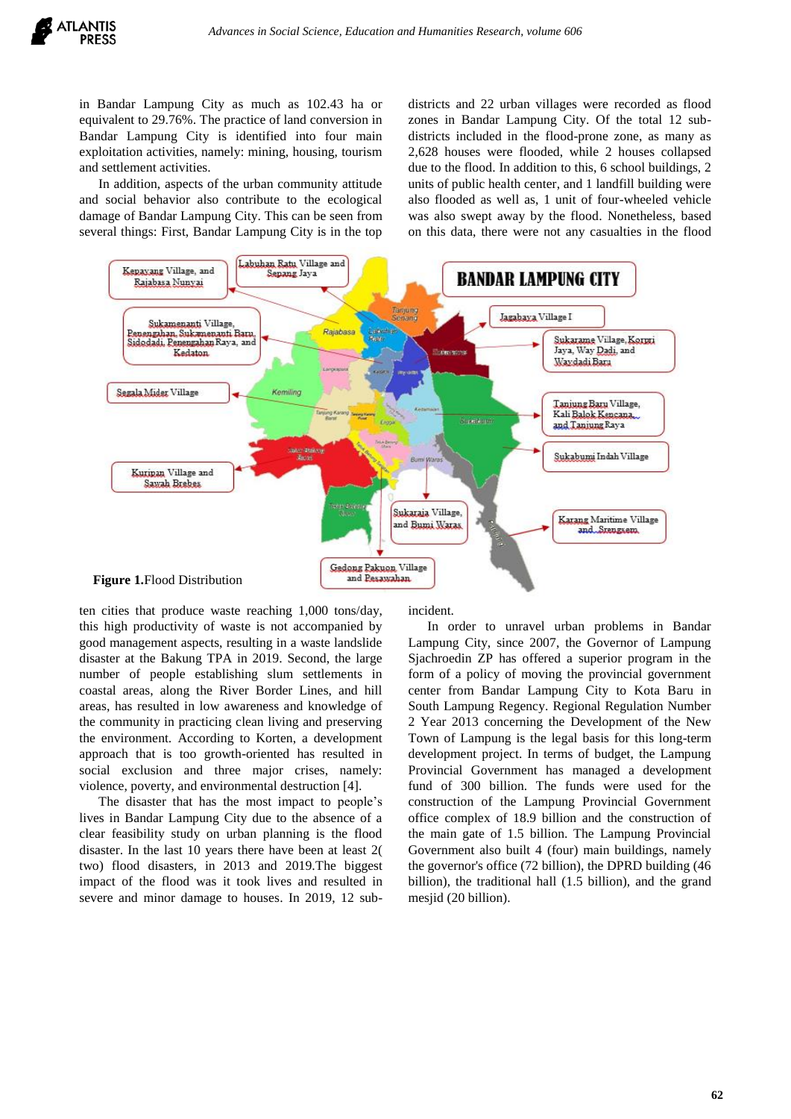in Bandar Lampung City as much as 102.43 ha or equivalent to 29.76%. The practice of land conversion in Bandar Lampung City is identified into four main exploitation activities, namely: mining, housing, tourism and settlement activities.

In addition, aspects of the urban community attitude and social behavior also contribute to the ecological damage of Bandar Lampung City. This can be seen from several things: First, Bandar Lampung City is in the top

districts and 22 urban villages were recorded as flood zones in Bandar Lampung City. Of the total 12 subdistricts included in the flood-prone zone, as many as 2,628 houses were flooded, while 2 houses collapsed due to the flood. In addition to this, 6 school buildings, 2 units of public health center, and 1 landfill building were also flooded as well as, 1 unit of four-wheeled vehicle was also swept away by the flood. Nonetheless, based on this data, there were not any casualties in the flood



ten cities that produce waste reaching 1,000 tons/day, this high productivity of waste is not accompanied by good management aspects, resulting in a waste landslide disaster at the Bakung TPA in 2019. Second, the large number of people establishing slum settlements in coastal areas, along the River Border Lines, and hill areas, has resulted in low awareness and knowledge of the community in practicing clean living and preserving the environment. According to Korten, a development approach that is too growth-oriented has resulted in social exclusion and three major crises, namely: violence, poverty, and environmental destruction [4].

The disaster that has the most impact to people's lives in Bandar Lampung City due to the absence of a clear feasibility study on urban planning is the flood disaster. In the last 10 years there have been at least 2( two) flood disasters, in 2013 and 2019.The biggest impact of the flood was it took lives and resulted in severe and minor damage to houses. In 2019, 12 subincident.

In order to unravel urban problems in Bandar Lampung City, since 2007, the Governor of Lampung Sjachroedin ZP has offered a superior program in the form of a policy of moving the provincial government center from Bandar Lampung City to Kota Baru in South Lampung Regency. Regional Regulation Number 2 Year 2013 concerning the Development of the New Town of Lampung is the legal basis for this long-term development project. In terms of budget, the Lampung Provincial Government has managed a development fund of 300 billion. The funds were used for the construction of the Lampung Provincial Government office complex of 18.9 billion and the construction of the main gate of 1.5 billion. The Lampung Provincial Government also built 4 (four) main buildings, namely the governor's office (72 billion), the DPRD building (46 billion), the traditional hall (1.5 billion), and the grand mesjid (20 billion).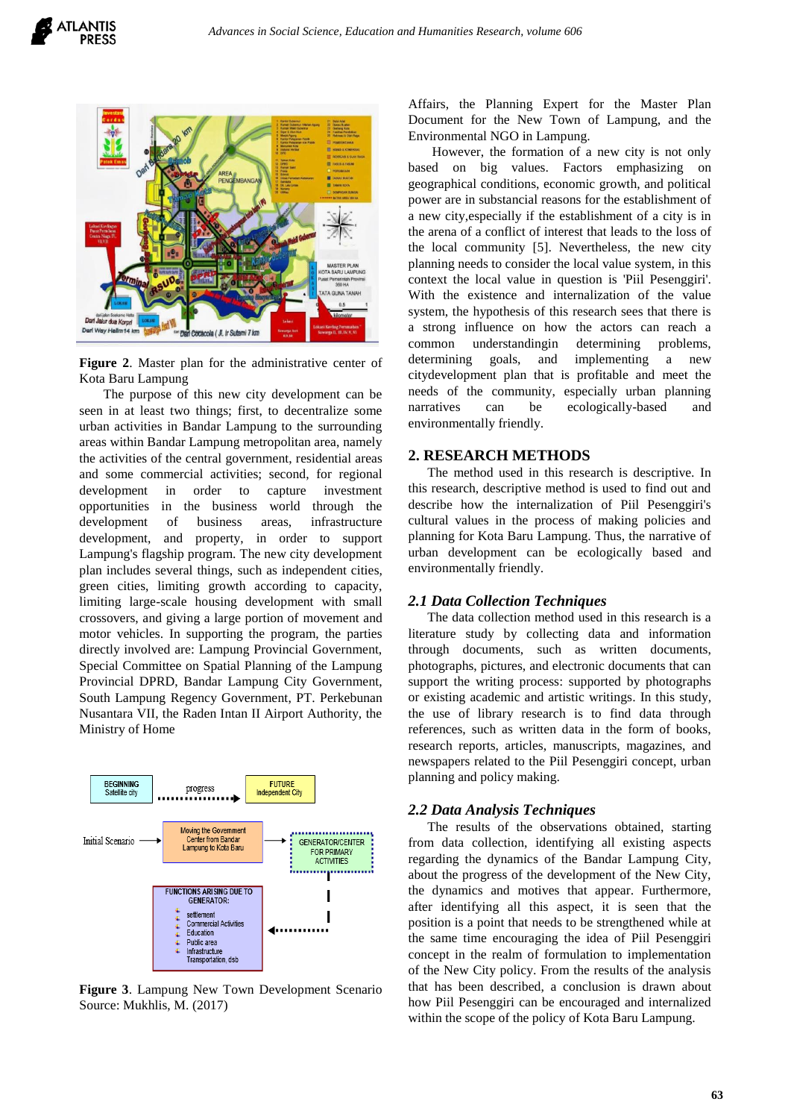

**Figure 2**. Master plan for the administrative center of Kota Baru Lampung

The purpose of this new city development can be seen in at least two things; first, to decentralize some urban activities in Bandar Lampung to the surrounding areas within Bandar Lampung metropolitan area, namely the activities of the central government, residential areas and some commercial activities; second, for regional development in order to capture investment opportunities in the business world through the development of business areas, infrastructure development, and property, in order to support Lampung's flagship program. The new city development plan includes several things, such as independent cities, green cities, limiting growth according to capacity, limiting large-scale housing development with small crossovers, and giving a large portion of movement and motor vehicles. In supporting the program, the parties directly involved are: Lampung Provincial Government, Special Committee on Spatial Planning of the Lampung Provincial DPRD, Bandar Lampung City Government, South Lampung Regency Government, PT. Perkebunan Nusantara VII, the Raden Intan II Airport Authority, the Ministry of Home



**Figure 3**. Lampung New Town Development Scenario Source: Mukhlis, M. (2017)

Affairs, the Planning Expert for the Master Plan Document for the New Town of Lampung, and the Environmental NGO in Lampung.

However, the formation of a new city is not only based on big values. Factors emphasizing on geographical conditions, economic growth, and political power are in substancial reasons for the establishment of a new city,especially if the establishment of a city is in the arena of a conflict of interest that leads to the loss of the local community [5]. Nevertheless, the new city planning needs to consider the local value system, in this context the local value in question is 'Piil Pesenggiri'. With the existence and internalization of the value system, the hypothesis of this research sees that there is a strong influence on how the actors can reach a common understandingin determining problems, determining goals, and implementing a new citydevelopment plan that is profitable and meet the needs of the community, especially urban planning narratives can be ecologically-based and environmentally friendly.

#### **2. RESEARCH METHODS**

The method used in this research is descriptive. In this research, descriptive method is used to find out and describe how the internalization of Piil Pesenggiri's cultural values in the process of making policies and planning for Kota Baru Lampung. Thus, the narrative of urban development can be ecologically based and environmentally friendly.

## *2.1 Data Collection Techniques*

The data collection method used in this research is a literature study by collecting data and information through documents, such as written documents, photographs, pictures, and electronic documents that can support the writing process: supported by photographs or existing academic and artistic writings. In this study, the use of library research is to find data through references, such as written data in the form of books, research reports, articles, manuscripts, magazines, and newspapers related to the Piil Pesenggiri concept, urban planning and policy making.

### *2.2 Data Analysis Techniques*

The results of the observations obtained, starting from data collection, identifying all existing aspects regarding the dynamics of the Bandar Lampung City, about the progress of the development of the New City, the dynamics and motives that appear. Furthermore, after identifying all this aspect, it is seen that the position is a point that needs to be strengthened while at the same time encouraging the idea of Piil Pesenggiri concept in the realm of formulation to implementation of the New City policy. From the results of the analysis that has been described, a conclusion is drawn about how Piil Pesenggiri can be encouraged and internalized within the scope of the policy of Kota Baru Lampung.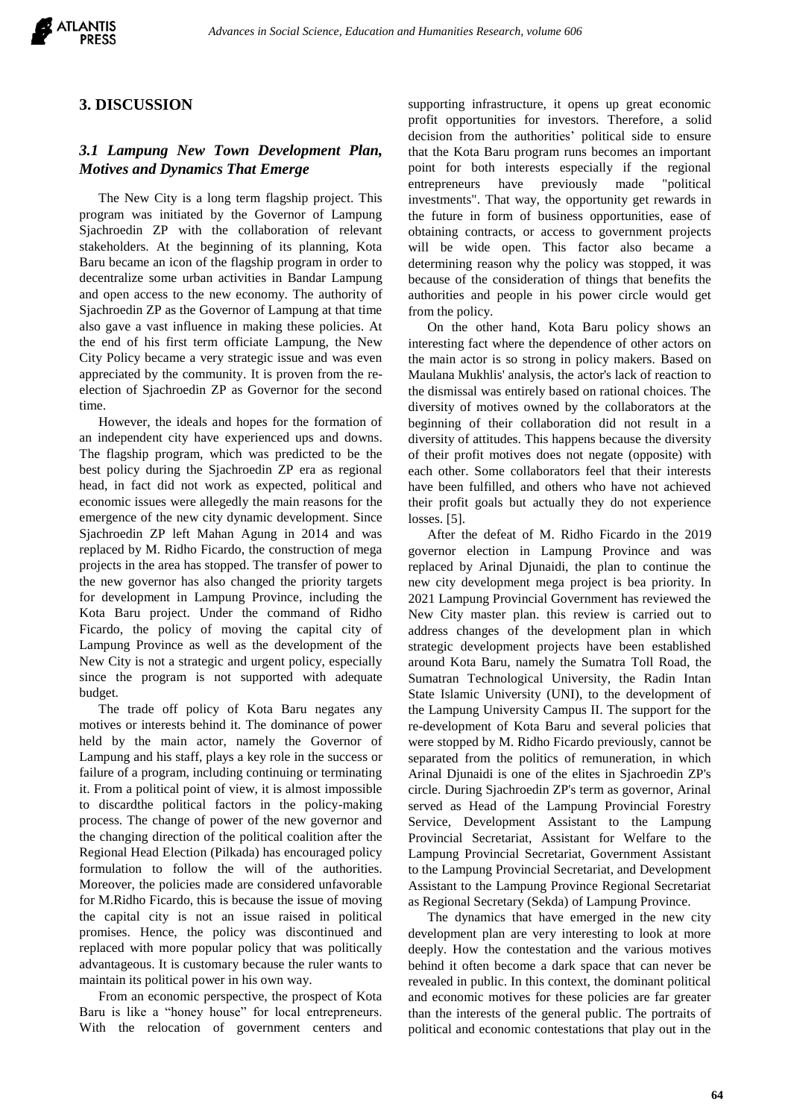

## **3. DISCUSSION**

# *3.1 Lampung New Town Development Plan, Motives and Dynamics That Emerge*

The New City is a long term flagship project. This program was initiated by the Governor of Lampung Sjachroedin ZP with the collaboration of relevant stakeholders. At the beginning of its planning, Kota Baru became an icon of the flagship program in order to decentralize some urban activities in Bandar Lampung and open access to the new economy. The authority of Sjachroedin ZP as the Governor of Lampung at that time also gave a vast influence in making these policies. At the end of his first term officiate Lampung, the New City Policy became a very strategic issue and was even appreciated by the community. It is proven from the reelection of Sjachroedin ZP as Governor for the second time.

However, the ideals and hopes for the formation of an independent city have experienced ups and downs. The flagship program, which was predicted to be the best policy during the Sjachroedin ZP era as regional head, in fact did not work as expected, political and economic issues were allegedly the main reasons for the emergence of the new city dynamic development. Since Sjachroedin ZP left Mahan Agung in 2014 and was replaced by M. Ridho Ficardo, the construction of mega projects in the area has stopped. The transfer of power to the new governor has also changed the priority targets for development in Lampung Province, including the Kota Baru project. Under the command of Ridho Ficardo, the policy of moving the capital city of Lampung Province as well as the development of the New City is not a strategic and urgent policy, especially since the program is not supported with adequate budget.

The trade off policy of Kota Baru negates any motives or interests behind it. The dominance of power held by the main actor, namely the Governor of Lampung and his staff, plays a key role in the success or failure of a program, including continuing or terminating it. From a political point of view, it is almost impossible to discardthe political factors in the policy-making process. The change of power of the new governor and the changing direction of the political coalition after the Regional Head Election (Pilkada) has encouraged policy formulation to follow the will of the authorities. Moreover, the policies made are considered unfavorable for M.Ridho Ficardo, this is because the issue of moving the capital city is not an issue raised in political promises. Hence, the policy was discontinued and replaced with more popular policy that was politically advantageous. It is customary because the ruler wants to maintain its political power in his own way.

From an economic perspective, the prospect of Kota Baru is like a "honey house" for local entrepreneurs. With the relocation of government centers and supporting infrastructure, it opens up great economic profit opportunities for investors. Therefore, a solid decision from the authorities' political side to ensure that the Kota Baru program runs becomes an important point for both interests especially if the regional entrepreneurs have previously made "political investments". That way, the opportunity get rewards in the future in form of business opportunities, ease of obtaining contracts, or access to government projects will be wide open. This factor also became a determining reason why the policy was stopped, it was because of the consideration of things that benefits the authorities and people in his power circle would get from the policy.

On the other hand, Kota Baru policy shows an interesting fact where the dependence of other actors on the main actor is so strong in policy makers. Based on Maulana Mukhlis' analysis, the actor's lack of reaction to the dismissal was entirely based on rational choices. The diversity of motives owned by the collaborators at the beginning of their collaboration did not result in a diversity of attitudes. This happens because the diversity of their profit motives does not negate (opposite) with each other. Some collaborators feel that their interests have been fulfilled, and others who have not achieved their profit goals but actually they do not experience losses. [5].

After the defeat of M. Ridho Ficardo in the 2019 governor election in Lampung Province and was replaced by Arinal Djunaidi, the plan to continue the new city development mega project is bea priority. In 2021 Lampung Provincial Government has reviewed the New City master plan. this review is carried out to address changes of the development plan in which strategic development projects have been established around Kota Baru, namely the Sumatra Toll Road, the Sumatran Technological University, the Radin Intan State Islamic University (UNI), to the development of the Lampung University Campus II. The support for the re-development of Kota Baru and several policies that were stopped by M. Ridho Ficardo previously, cannot be separated from the politics of remuneration, in which Arinal Djunaidi is one of the elites in Sjachroedin ZP's circle. During Sjachroedin ZP's term as governor, Arinal served as Head of the Lampung Provincial Forestry Service, Development Assistant to the Lampung Provincial Secretariat, Assistant for Welfare to the Lampung Provincial Secretariat, Government Assistant to the Lampung Provincial Secretariat, and Development Assistant to the Lampung Province Regional Secretariat as Regional Secretary (Sekda) of Lampung Province.

The dynamics that have emerged in the new city development plan are very interesting to look at more deeply. How the contestation and the various motives behind it often become a dark space that can never be revealed in public. In this context, the dominant political and economic motives for these policies are far greater than the interests of the general public. The portraits of political and economic contestations that play out in the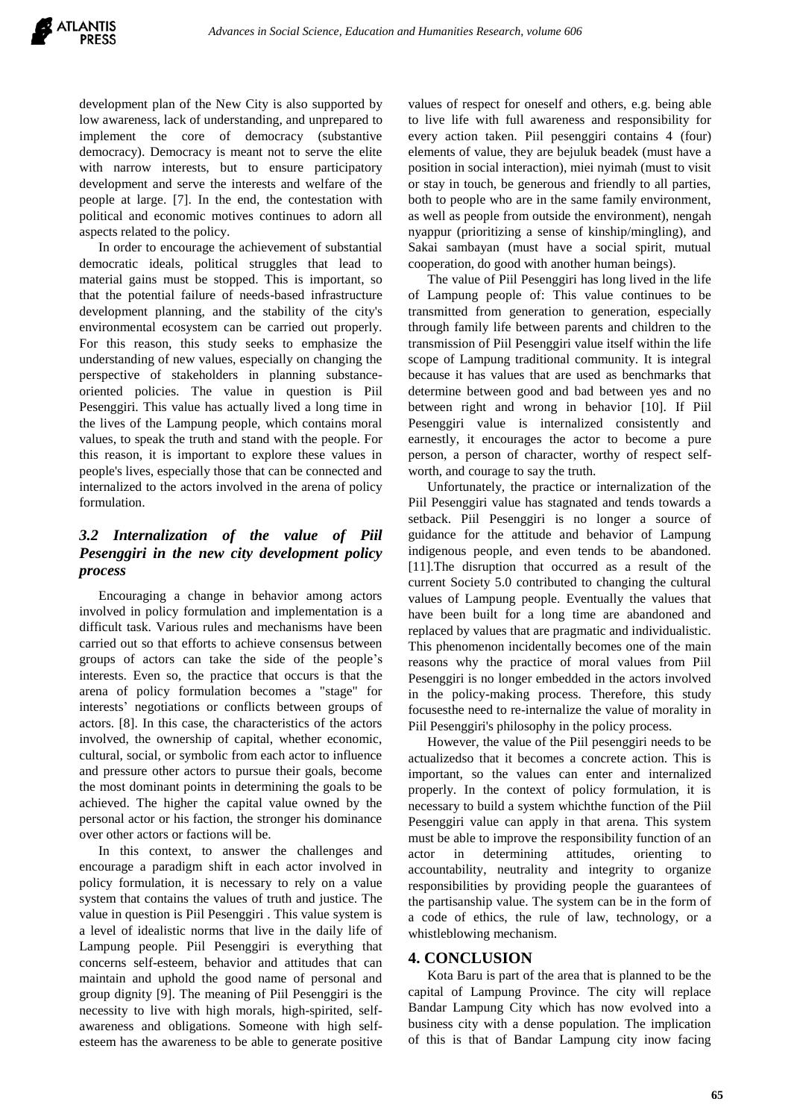development plan of the New City is also supported by low awareness, lack of understanding, and unprepared to implement the core of democracy (substantive democracy). Democracy is meant not to serve the elite with narrow interests, but to ensure participatory development and serve the interests and welfare of the people at large. [7]. In the end, the contestation with political and economic motives continues to adorn all aspects related to the policy.

In order to encourage the achievement of substantial democratic ideals, political struggles that lead to material gains must be stopped. This is important, so that the potential failure of needs-based infrastructure development planning, and the stability of the city's environmental ecosystem can be carried out properly. For this reason, this study seeks to emphasize the understanding of new values, especially on changing the perspective of stakeholders in planning substanceoriented policies. The value in question is Piil Pesenggiri. This value has actually lived a long time in the lives of the Lampung people, which contains moral values, to speak the truth and stand with the people. For this reason, it is important to explore these values in people's lives, especially those that can be connected and internalized to the actors involved in the arena of policy formulation.

# *3.2 Internalization of the value of Piil Pesenggiri in the new city development policy process*

Encouraging a change in behavior among actors involved in policy formulation and implementation is a difficult task. Various rules and mechanisms have been carried out so that efforts to achieve consensus between groups of actors can take the side of the people's interests. Even so, the practice that occurs is that the arena of policy formulation becomes a "stage" for interests' negotiations or conflicts between groups of actors. [8]. In this case, the characteristics of the actors involved, the ownership of capital, whether economic, cultural, social, or symbolic from each actor to influence and pressure other actors to pursue their goals, become the most dominant points in determining the goals to be achieved. The higher the capital value owned by the personal actor or his faction, the stronger his dominance over other actors or factions will be.

In this context, to answer the challenges and encourage a paradigm shift in each actor involved in policy formulation, it is necessary to rely on a value system that contains the values of truth and justice. The value in question is Piil Pesenggiri . This value system is a level of idealistic norms that live in the daily life of Lampung people. Piil Pesenggiri is everything that concerns self-esteem, behavior and attitudes that can maintain and uphold the good name of personal and group dignity [9]. The meaning of Piil Pesenggiri is the necessity to live with high morals, high-spirited, selfawareness and obligations. Someone with high selfesteem has the awareness to be able to generate positive

values of respect for oneself and others, e.g. being able to live life with full awareness and responsibility for every action taken. Piil pesenggiri contains 4 (four) elements of value, they are bejuluk beadek (must have a position in social interaction), miei nyimah (must to visit or stay in touch, be generous and friendly to all parties, both to people who are in the same family environment, as well as people from outside the environment), nengah nyappur (prioritizing a sense of kinship/mingling), and Sakai sambayan (must have a social spirit, mutual cooperation, do good with another human beings).

The value of Piil Pesenggiri has long lived in the life of Lampung people of: This value continues to be transmitted from generation to generation, especially through family life between parents and children to the transmission of Piil Pesenggiri value itself within the life scope of Lampung traditional community. It is integral because it has values that are used as benchmarks that determine between good and bad between yes and no between right and wrong in behavior [10]. If Piil Pesenggiri value is internalized consistently and earnestly, it encourages the actor to become a pure person, a person of character, worthy of respect selfworth, and courage to say the truth.

Unfortunately, the practice or internalization of the Piil Pesenggiri value has stagnated and tends towards a setback. Piil Pesenggiri is no longer a source of guidance for the attitude and behavior of Lampung indigenous people, and even tends to be abandoned. [11].The disruption that occurred as a result of the current Society 5.0 contributed to changing the cultural values of Lampung people. Eventually the values that have been built for a long time are abandoned and replaced by values that are pragmatic and individualistic. This phenomenon incidentally becomes one of the main reasons why the practice of moral values from Piil Pesenggiri is no longer embedded in the actors involved in the policy-making process. Therefore, this study focusesthe need to re-internalize the value of morality in Piil Pesenggiri's philosophy in the policy process.

However, the value of the Piil pesenggiri needs to be actualizedso that it becomes a concrete action. This is important, so the values can enter and internalized properly. In the context of policy formulation, it is necessary to build a system whichthe function of the Piil Pesenggiri value can apply in that arena. This system must be able to improve the responsibility function of an actor in determining attitudes, orienting to accountability, neutrality and integrity to organize responsibilities by providing people the guarantees of the partisanship value. The system can be in the form of a code of ethics, the rule of law, technology, or a whistleblowing mechanism.

## **4. CONCLUSION**

Kota Baru is part of the area that is planned to be the capital of Lampung Province. The city will replace Bandar Lampung City which has now evolved into a business city with a dense population. The implication of this is that of Bandar Lampung city inow facing